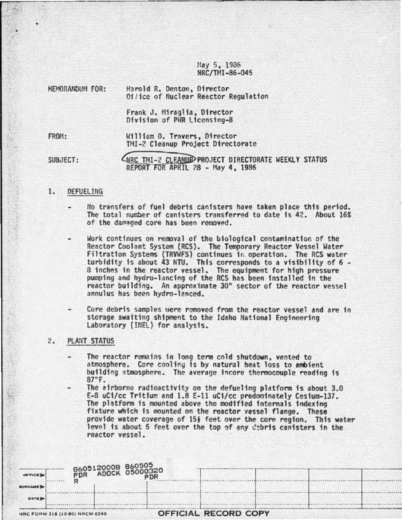May 5, 1986 NRC/TMI-86-045

| <b>MEMORANDUM FOR:</b> | Harold R. Denton, Director<br>Of/ice of Nuclear Reactor Regulation |  |
|------------------------|--------------------------------------------------------------------|--|
|                        | Frank J. Miraglia, Director<br>Division of PWR Licensing-B         |  |
| FROM:                  | William D. Travers, Director<br>TMI-2 Cleanup Project Directorate  |  |
|                        |                                                                    |  |

SUB,JECT:

LIRC TMI-2 CLEANUP PROJECT DIRECTORATE WEEKLY STATUS REPORIFORAPRIL *?.8* - nay 4. 1986

## 1. DEFUELING

- Uo transfers of fuel debris canisters have taken place thfs period. The total number of canisters transferred to date is 42. About 16% of the damaged core has been removed.
- Work continues on removal of the biological contamination of the Reactor Coolant System (RCS). The Temporary Reactor Vessel Water Filtration Systems (TRVWFS) continues in operation. The RCS water turbidity is about 43 NTU. This corresponds to a visibility of  $6 -$ 8 inches in the reactor vessel. The equipment for high pressure pumping and hydro-lancing of the RCS has been installed in the reactor building. An approximate 30° sector of the reactor vessel annulus has been hydro-lanced.
- Core debris samples uere removed from the reactor vessel and are in storage awaiting shipment to the Idaho National Engineering laboratory (IfiEL) for analysis.

# 2. PLANT STATUS

- The reactor remains in long term cold shutdown, vented to atmosphere. *Core* cooling is by natural heat loss to ambient building atmosphere. The average incore thermocouple reading is 87°F.
- The airborne radioactivity on the defueling platfonn is about 3.0 E-8 uC1/cc Trftfum and 1.8 E-ll uCi/cc predominately Cesium-137. fixture which is mounted on the reactor vessel flange. These provide water coverage of 151 feet-over the core region. This water level is about 5 feet over the top of any  $d_2$ bris canisters in the reactor vessel.

| OFFICE D       | B605120008 860505<br>R ADOCK 05000320    |                      |
|----------------|------------------------------------------|----------------------|
| <b>BURNAME</b> |                                          |                      |
| <b>DATE</b>    |                                          |                      |
|                | <b>ALBA FANIS SIR ILA GAL BIRES AREA</b> | OCCICIAL DECODD CODY |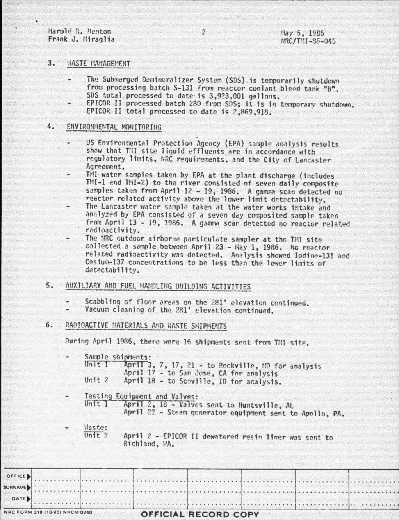Harold R. Denton Frank J. Miraglia

#### $3.$ HASTE HANAGEMENT

- The Submerged Demineralizer System (SDS) is temporarily shutdown from processing batch S-131 from reactor coolant bleed tank "B". SDS total processed to date is 3,923,001 gallons.
- EPICOR II processed batch 280 from SDS; it is in temporary shutdown. EPICOR II total processed to date is 2,869,918.

#### 4. ENVIRONMENTAL MONITORING

- US Environmental Protection Agency (EPA) sample analysis results show that Til site liquid effluents are in accordance with regulatory limits, NRC requirements, and the City of Lancaster Agreement.
- TMI water samples taken by EPA at the plant discharge (includes TMI-1 and TMI-2) to the river consisted of seven daily composite samples taken from April 12 - 19, 1986. A gamma scan detected no reactor related activity above the lower limit detectability.
- The Lancaster water sample taken at the water works intake and analyzed by EPA consisted of a seven day composited sample taken from April 13 - 19, 1986. A gamma scan detected no reactor related radioactivity.
- The NRC outdoor airborne particulate sampler at the TMI site collected a sample between April 23 - May 1, 1986. No reactor related radioactivity was detected. Analysis showed Iodine-131 and Cesium-137 concentrations to be less than the lower limits of detectability.
- AUXILIARY AND FUEL HANDLING BUILDING ACTIVITIES  $5.$ 
	- Scabbling of floor areas on the 281' elevation continued.
	- Vacuum cleaning of the 281' elevation continued. a.

### RADIOACTIVE HATERIALS AND WASTE SHIPMENTS 6.

During April 1986, there were 16 shipments sent from TMI site.

Sample shipments:

Unit I April 3, 7, 17, 21 - to Rockville, MD for analysis April 17 - to San Jose, CA for analysis Unit  $2$ April 18 - to Scoville, ID for analysis.

Testing Equipment and Valves:

Unit 1 April 2, 18 - Valves sent to Huntsville, AL April 22 - Steam generator equipment sent to Apollo, PA.

Waste: Unit  $2$ 

April 2 - EPICOR II dewatered resin liner was sent to Richland, WA.

|        | NRC FORM 318 (10 80) NRCM 0240 |  | OFFICIAL RECORD COPY |  |  |
|--------|--------------------------------|--|----------------------|--|--|
| DATE   |                                |  |                      |  |  |
|        |                                |  |                      |  |  |
|        |                                |  |                      |  |  |
| OFFICE |                                |  |                      |  |  |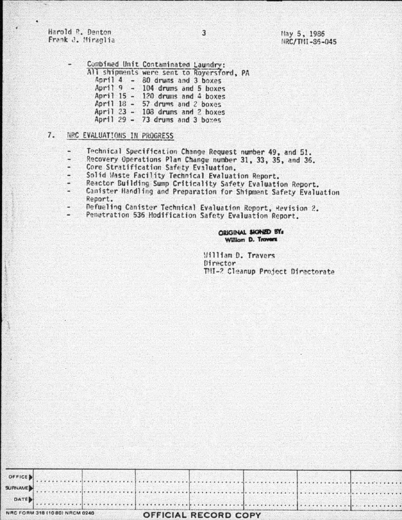Harold R. Denton Frank J. Miraglia

|              |           | Combined Unit Contaminated Laundry:       |
|--------------|-----------|-------------------------------------------|
|              |           | All shipments were sent to Royersford, PA |
|              |           | April $4 - 80$ drums and 3 boxes          |
|              |           | April $9 - 104$ drums and 5 boxes         |
| April 15     | $\bullet$ | 120 drums and 4 boxes                     |
| April $18 -$ |           | 57 drums and 2 boxes                      |
|              |           | April $23 - 103$ drums and 2 boxes        |
|              |           | April 29 - 73 drums and 3 boxes           |
|              |           |                                           |

### $7.$ NRC EVALUATIONS IN PROGRESS

- Technical Specification Change Request number 49, and 51. ÷
- Recovery Operations Plan Change number 31, 33, 35, and 36. 12
- Core Stratification Safety Evaluation.
- Solid Waste Facility Technical Evaluation Report.
- Reactor Building Sump Criticality Safety Evaluation Report.
- Canister Handling and Preparation for Shipment Safety Evaluation Report.
- Defueling Canister Technical Evaluation Report, Revision 2.
- Penetration 536 Hodification Safety Evaluation Report.

## **ORIGINAL SIGNED BY:** William D. Travers

William D. Travers Director TMI-2 Cleanup Project Directorate

. . . . . . . . . . . .

 $5.7.7$ 

| NRC FORM 318 (10 80) NRCM 0240 |  |  |  |  |  | <b>OFFICIAL RECORD COPY</b> |  |  |  |  |  |  |
|--------------------------------|--|--|--|--|--|-----------------------------|--|--|--|--|--|--|
| DATE <sub>P</sub>              |  |  |  |  |  |                             |  |  |  |  |  |  |
|                                |  |  |  |  |  |                             |  |  |  |  |  |  |
| <b>OLLICE</b>                  |  |  |  |  |  |                             |  |  |  |  |  |  |